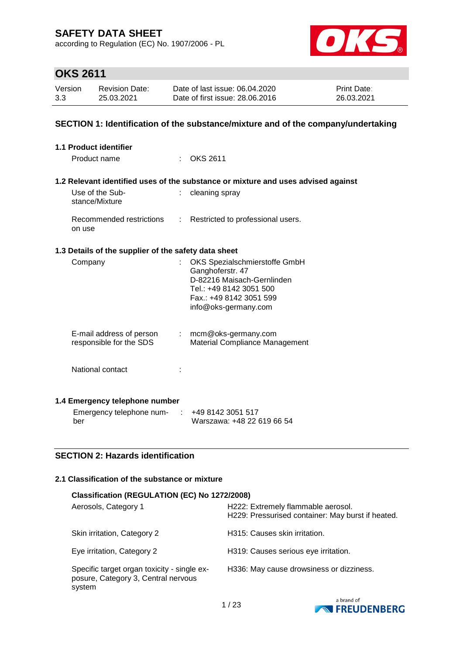according to Regulation (EC) No. 1907/2006 - PL



# **OKS 2611**

| Version | <b>Revision Date:</b> | Date of last issue: 06.04.2020  | <b>Print Date:</b> |
|---------|-----------------------|---------------------------------|--------------------|
| 3.3     | 25.03.2021            | Date of first issue: 28,06,2016 | 26.03.2021         |

### **SECTION 1: Identification of the substance/mixture and of the company/undertaking**

| 1.1 Product identifier                               |                             |                                                                                                                                                               |
|------------------------------------------------------|-----------------------------|---------------------------------------------------------------------------------------------------------------------------------------------------------------|
| Product name                                         |                             | <b>OKS 2611</b>                                                                                                                                               |
|                                                      |                             | 1.2 Relevant identified uses of the substance or mixture and uses advised against                                                                             |
| Use of the Sub-<br>stance/Mixture                    |                             | cleaning spray                                                                                                                                                |
| Recommended restrictions<br>on use                   | ÷                           | Restricted to professional users.                                                                                                                             |
| 1.3 Details of the supplier of the safety data sheet |                             |                                                                                                                                                               |
| Company                                              | t.                          | OKS Spezialschmierstoffe GmbH<br>Ganghoferstr. 47<br>D-82216 Maisach-Gernlinden<br>Tel.: +49 8142 3051 500<br>Fax.: +49 8142 3051 599<br>info@oks-germany.com |
| E-mail address of person<br>responsible for the SDS  | $\mathcal{D}^{\mathcal{A}}$ | mcm@oks-germany.com<br>Material Compliance Management                                                                                                         |
| National contact                                     |                             |                                                                                                                                                               |
| 1.4 Emergency telephone number                       |                             |                                                                                                                                                               |
| Emergency telephone num-<br>ber                      | ÷                           | +49 8142 3051 517<br>Warszawa: +48 22 619 66 54                                                                                                               |

## **SECTION 2: Hazards identification**

### **2.1 Classification of the substance or mixture**

| Classification (REGULATION (EC) No 1272/2008)                                                |                                                                                         |  |  |
|----------------------------------------------------------------------------------------------|-----------------------------------------------------------------------------------------|--|--|
| Aerosols, Category 1                                                                         | H222: Extremely flammable aerosol.<br>H229: Pressurised container: May burst if heated. |  |  |
| Skin irritation, Category 2                                                                  | H315: Causes skin irritation.                                                           |  |  |
| Eye irritation, Category 2                                                                   | H319: Causes serious eye irritation.                                                    |  |  |
| Specific target organ toxicity - single ex-<br>posure, Category 3, Central nervous<br>system | H336: May cause drowsiness or dizziness.                                                |  |  |

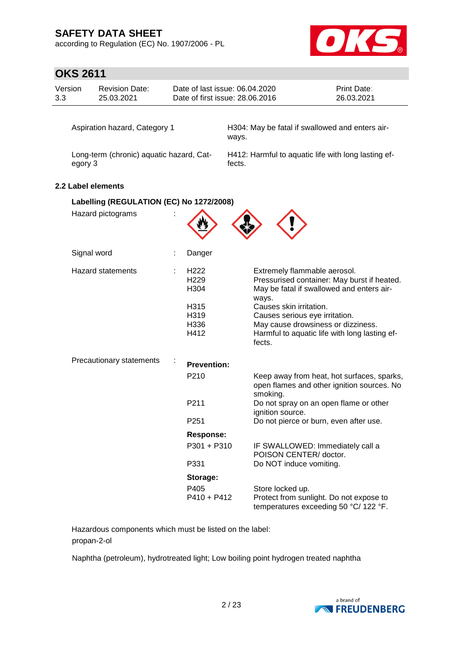according to Regulation (EC) No. 1907/2006 - PL



# **OKS 2611**

| UNJ ZOI I                                           |                                          |  |                                              |                                                                     |                                                                                          |
|-----------------------------------------------------|------------------------------------------|--|----------------------------------------------|---------------------------------------------------------------------|------------------------------------------------------------------------------------------|
| Version<br>3.3                                      | <b>Revision Date:</b><br>25.03.2021      |  |                                              | Date of last issue: 06.04.2020<br>Date of first issue: 28.06.2016   | <b>Print Date:</b><br>26.03.2021                                                         |
|                                                     | Aspiration hazard, Category 1            |  |                                              | H304: May be fatal if swallowed and enters air-<br>ways.            |                                                                                          |
| Long-term (chronic) aquatic hazard, Cat-<br>egory 3 |                                          |  |                                              | H412: Harmful to aquatic life with long lasting ef-<br>fects.       |                                                                                          |
|                                                     | 2.2 Label elements                       |  |                                              |                                                                     |                                                                                          |
|                                                     | Labelling (REGULATION (EC) No 1272/2008) |  |                                              |                                                                     |                                                                                          |
|                                                     | Hazard pictograms                        |  |                                              |                                                                     |                                                                                          |
|                                                     | Signal word                              |  | Danger                                       |                                                                     |                                                                                          |
|                                                     | <b>Hazard statements</b>                 |  | H <sub>222</sub><br>H <sub>229</sub><br>H304 | Extremely flammable aerosol.<br>ways.                               | Pressurised container: May burst if heated.<br>May be fatal if swallowed and enters air- |
|                                                     |                                          |  | H315<br>H319<br>H336<br>H412                 | Causes skin irritation.<br>Causes serious eye irritation.<br>fects. | May cause drowsiness or dizziness.<br>Harmful to aquatic life with long lasting ef-      |
|                                                     | Precautionary statements                 |  | <b>Prevention:</b>                           |                                                                     |                                                                                          |
|                                                     |                                          |  | P210                                         | smoking.                                                            | Keep away from heat, hot surfaces, sparks,<br>open flames and other ignition sources. No |
|                                                     |                                          |  | P211                                         | ignition source.                                                    | Do not spray on an open flame or other                                                   |
|                                                     |                                          |  | P <sub>251</sub>                             |                                                                     | Do not pierce or burn, even after use                                                    |
|                                                     |                                          |  | <b>Response:</b><br>P301 + P310              |                                                                     | IF SWALLOWED: Immediately call a                                                         |
|                                                     |                                          |  | P331                                         | POISON CENTER/ doctor.<br>Do NOT induce vomiting.                   |                                                                                          |
|                                                     |                                          |  | Storage:                                     |                                                                     |                                                                                          |
|                                                     |                                          |  | P405<br>$P410 + P412$                        | Store locked up.                                                    | Protect from sunlight. Do not expose to<br>temperatures exceeding 50 °C/ 122 °F.         |

Hazardous components which must be listed on the label: propan-2-ol

Naphtha (petroleum), hydrotreated light; Low boiling point hydrogen treated naphtha

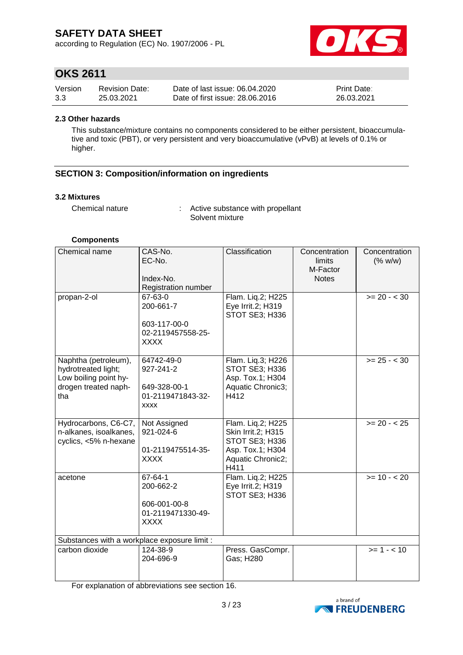according to Regulation (EC) No. 1907/2006 - PL



## **OKS 2611**

| Version | <b>Revision Date:</b> | Date of last issue: 06.04.2020  | <b>Print Date:</b> |
|---------|-----------------------|---------------------------------|--------------------|
| 3.3     | 25.03.2021            | Date of first issue: 28,06,2016 | 26.03.2021         |

#### **2.3 Other hazards**

This substance/mixture contains no components considered to be either persistent, bioaccumulative and toxic (PBT), or very persistent and very bioaccumulative (vPvB) at levels of 0.1% or higher.

### **SECTION 3: Composition/information on ingredients**

#### **3.2 Mixtures**

Chemical nature : Active substance with propellant Solvent mixture

#### **Components**

| Chemical name                                                                                       | CAS-No.<br>EC-No.<br>Index-No.<br>Registration number                       | Classification                                                                                                    | Concentration<br>limits<br>M-Factor<br><b>Notes</b> | Concentration<br>(% w/w) |  |  |
|-----------------------------------------------------------------------------------------------------|-----------------------------------------------------------------------------|-------------------------------------------------------------------------------------------------------------------|-----------------------------------------------------|--------------------------|--|--|
| propan-2-ol                                                                                         | 67-63-0<br>200-661-7<br>603-117-00-0<br>02-2119457558-25-<br><b>XXXX</b>    | Flam. Liq.2; H225<br>Eye Irrit.2; H319<br>STOT SE3; H336                                                          |                                                     | $>= 20 - < 30$           |  |  |
| Naphtha (petroleum),<br>hydrotreated light;<br>Low boiling point hy-<br>drogen treated naph-<br>tha | 64742-49-0<br>927-241-2<br>649-328-00-1<br>01-2119471843-32-<br><b>XXXX</b> | Flam. Liq.3; H226<br>STOT SE3; H336<br>Asp. Tox.1; H304<br>Aquatic Chronic3;<br>H412                              |                                                     | $>= 25 - < 30$           |  |  |
| Hydrocarbons, C6-C7,<br>n-alkanes, isoalkanes,<br>cyclics, <5% n-hexane                             | Not Assigned<br>921-024-6<br>01-2119475514-35-<br><b>XXXX</b>               | Flam. Lig.2; H225<br>Skin Irrit.2; H315<br><b>STOT SE3; H336</b><br>Asp. Tox.1; H304<br>Aquatic Chronic2;<br>H411 |                                                     | $>= 20 - 25$             |  |  |
| acetone                                                                                             | 67-64-1<br>200-662-2<br>606-001-00-8<br>01-2119471330-49-<br><b>XXXX</b>    | Flam. Liq.2; H225<br>Eye Irrit.2; H319<br>STOT SE3; H336                                                          |                                                     | $>= 10 - 20$             |  |  |
|                                                                                                     | Substances with a workplace exposure limit :                                |                                                                                                                   |                                                     |                          |  |  |
| carbon dioxide                                                                                      | 124-38-9<br>204-696-9                                                       | Press. GasCompr.<br>Gas; H280                                                                                     |                                                     | $>= 1 - 10$              |  |  |

For explanation of abbreviations see section 16.

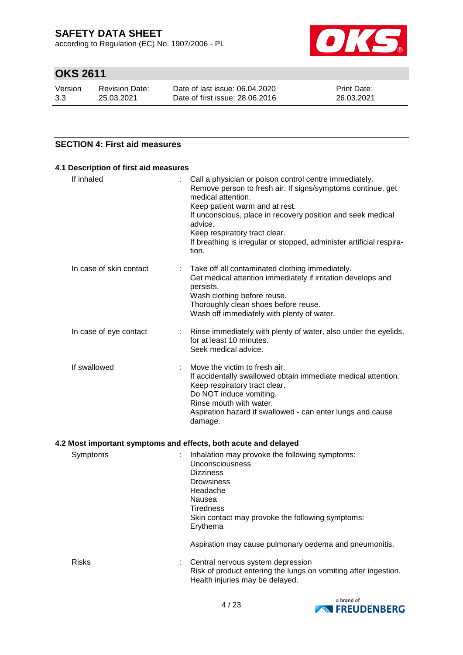according to Regulation (EC) No. 1907/2006 - PL



# **OKS 2611**

| Version | Revision Date: | Date of last issue: 06.04.2020  | <b>Print Date:</b> |
|---------|----------------|---------------------------------|--------------------|
| 3.3     | 25.03.2021     | Date of first issue: 28,06,2016 | 26.03.2021         |

### **SECTION 4: First aid measures**

| If inhaled              | Call a physician or poison control centre immediately.<br>÷.<br>Remove person to fresh air. If signs/symptoms continue, get<br>medical attention.<br>Keep patient warm and at rest.<br>If unconscious, place in recovery position and seek medical<br>advice.<br>Keep respiratory tract clear.<br>If breathing is irregular or stopped, administer artificial respira-<br>tion. |
|-------------------------|---------------------------------------------------------------------------------------------------------------------------------------------------------------------------------------------------------------------------------------------------------------------------------------------------------------------------------------------------------------------------------|
| In case of skin contact | Take off all contaminated clothing immediately.<br>Get medical attention immediately if irritation develops and<br>persists.<br>Wash clothing before reuse.<br>Thoroughly clean shoes before reuse.<br>Wash off immediately with plenty of water.                                                                                                                               |
| In case of eye contact  | Rinse immediately with plenty of water, also under the eyelids,<br>for at least 10 minutes.<br>Seek medical advice.                                                                                                                                                                                                                                                             |
| If swallowed            | Move the victim to fresh air.<br>If accidentally swallowed obtain immediate medical attention.<br>Keep respiratory tract clear.<br>Do NOT induce vomiting.<br>Rinse mouth with water.<br>Aspiration hazard if swallowed - can enter lungs and cause<br>damage.                                                                                                                  |

## **4.2 Most important symptoms and effects, both acute and delayed**

| Symptoms     | Inhalation may provoke the following symptoms:<br>Unconsciousness<br><b>Dizziness</b><br><b>Drowsiness</b><br>Headache<br>Nausea<br><b>Tiredness</b><br>Skin contact may provoke the following symptoms:<br>Erythema |
|--------------|----------------------------------------------------------------------------------------------------------------------------------------------------------------------------------------------------------------------|
|              | Aspiration may cause pulmonary oedema and pneumonitis.                                                                                                                                                               |
| <b>Risks</b> | Central nervous system depression<br>÷.<br>Risk of product entering the lungs on vomiting after ingestion.<br>Health injuries may be delayed.                                                                        |

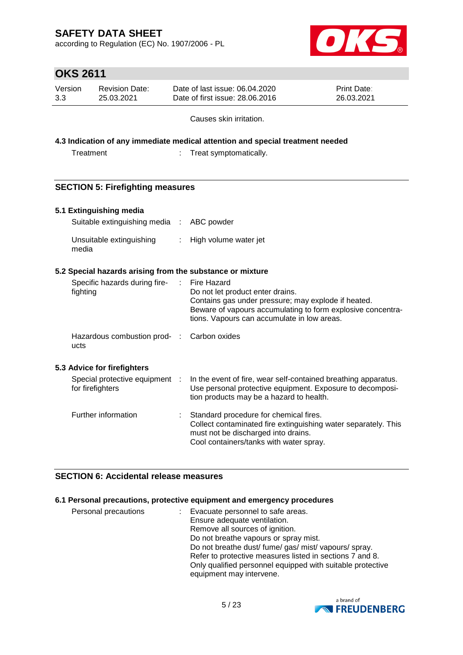according to Regulation (EC) No. 1907/2006 - PL



# **OKS 2611**

| Version | <b>Revision Date:</b> | Date of last issue: 06.04.2020  | <b>Print Date:</b> |
|---------|-----------------------|---------------------------------|--------------------|
| 3.3     | 25.03.2021            | Date of first issue: 28,06,2016 | 26.03.2021         |

Causes skin irritation.

**4.3 Indication of any immediate medical attention and special treatment needed**

Treatment : Treat symptomatically.

## **SECTION 5: Firefighting measures**

## **5.1 Extinguishing media**

| Suitable extinguishing media : ABC powder |                         |
|-------------------------------------------|-------------------------|
| Unsuitable extinguishing<br>media         | : High volume water jet |

### **5.2 Special hazards arising from the substance or mixture**

| Specific hazards during fire-<br>fighting          | ÷. | Fire Hazard<br>Do not let product enter drains.<br>Contains gas under pressure; may explode if heated.<br>Beware of vapours accumulating to form explosive concentra-<br>tions. Vapours can accumulate in low areas. |
|----------------------------------------------------|----|----------------------------------------------------------------------------------------------------------------------------------------------------------------------------------------------------------------------|
| Hazardous combustion prod- : Carbon oxides<br>ucts |    |                                                                                                                                                                                                                      |
| 5.3 Advice for firefighters                        |    |                                                                                                                                                                                                                      |
| Special protective equipment :<br>for firefighters |    | In the event of fire, wear self-contained breathing apparatus.<br>Use personal protective equipment. Exposure to decomposi-<br>tion products may be a hazard to health.                                              |
| Further information                                |    | Standard procedure for chemical fires.<br>Collect contaminated fire extinguishing water separately. This<br>must not be discharged into drains.<br>Cool containers/tanks with water spray.                           |

## **SECTION 6: Accidental release measures**

### **6.1 Personal precautions, protective equipment and emergency procedures**

| Personal precautions | Evacuate personnel to safe areas.                          |
|----------------------|------------------------------------------------------------|
|                      | Ensure adequate ventilation.                               |
|                      | Remove all sources of ignition.                            |
|                      | Do not breathe vapours or spray mist.                      |
|                      | Do not breathe dust/fume/gas/mist/vapours/spray.           |
|                      | Refer to protective measures listed in sections 7 and 8.   |
|                      | Only qualified personnel equipped with suitable protective |
|                      | equipment may intervene.                                   |

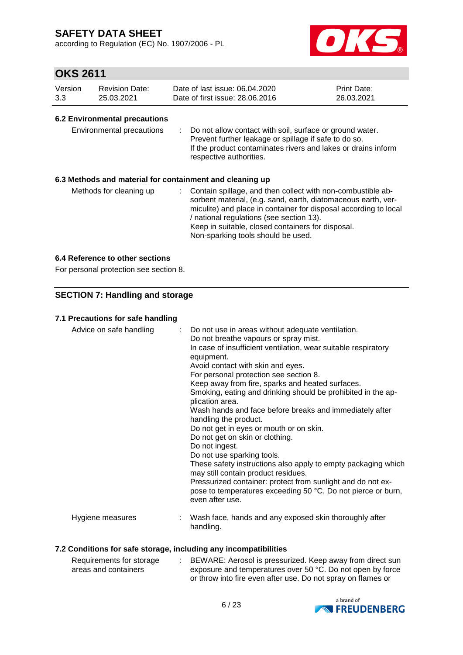according to Regulation (EC) No. 1907/2006 - PL



## **OKS 2611**

| Version | <b>Revision Date:</b> | Date of last issue: 06.04.2020  | <b>Print Date:</b> |
|---------|-----------------------|---------------------------------|--------------------|
| 3.3     | 25.03.2021            | Date of first issue: 28.06.2016 | 26.03.2021         |

### **6.2 Environmental precautions**

| Environmental precautions |  | Do not allow contact with soil, surface or ground water.<br>Prevent further leakage or spillage if safe to do so.<br>If the product contaminates rivers and lakes or drains inform<br>respective authorities. |
|---------------------------|--|---------------------------------------------------------------------------------------------------------------------------------------------------------------------------------------------------------------|
|---------------------------|--|---------------------------------------------------------------------------------------------------------------------------------------------------------------------------------------------------------------|

## **6.3 Methods and material for containment and cleaning up**

| Methods for cleaning up | : Contain spillage, and then collect with non-combustible ab-<br>sorbent material, (e.g. sand, earth, diatomaceous earth, ver-<br>miculite) and place in container for disposal according to local<br>/ national regulations (see section 13).<br>Keep in suitable, closed containers for disposal.<br>Non-sparking tools should be used. |
|-------------------------|-------------------------------------------------------------------------------------------------------------------------------------------------------------------------------------------------------------------------------------------------------------------------------------------------------------------------------------------|
|-------------------------|-------------------------------------------------------------------------------------------------------------------------------------------------------------------------------------------------------------------------------------------------------------------------------------------------------------------------------------------|

### **6.4 Reference to other sections**

For personal protection see section 8.

## **SECTION 7: Handling and storage**

### **7.1 Precautions for safe handling**

| Advice on safe handling | : Do not use in areas without adequate ventilation.<br>Do not breathe vapours or spray mist.<br>In case of insufficient ventilation, wear suitable respiratory<br>equipment.<br>Avoid contact with skin and eyes.<br>For personal protection see section 8.<br>Keep away from fire, sparks and heated surfaces.<br>Smoking, eating and drinking should be prohibited in the ap-<br>plication area.<br>Wash hands and face before breaks and immediately after<br>handling the product.<br>Do not get in eyes or mouth or on skin.<br>Do not get on skin or clothing.<br>Do not ingest.<br>Do not use sparking tools.<br>These safety instructions also apply to empty packaging which<br>may still contain product residues.<br>Pressurized container: protect from sunlight and do not ex-<br>pose to temperatures exceeding 50 °C. Do not pierce or burn,<br>even after use. |
|-------------------------|--------------------------------------------------------------------------------------------------------------------------------------------------------------------------------------------------------------------------------------------------------------------------------------------------------------------------------------------------------------------------------------------------------------------------------------------------------------------------------------------------------------------------------------------------------------------------------------------------------------------------------------------------------------------------------------------------------------------------------------------------------------------------------------------------------------------------------------------------------------------------------|
| Hygiene measures        | Wash face, hands and any exposed skin thoroughly after<br>handling.                                                                                                                                                                                                                                                                                                                                                                                                                                                                                                                                                                                                                                                                                                                                                                                                            |

### **7.2 Conditions for safe storage, including any incompatibilities**

| Requirements for storage | BEWARE: Aerosol is pressurized. Keep away from direct sun    |
|--------------------------|--------------------------------------------------------------|
| areas and containers     | exposure and temperatures over 50 °C. Do not open by force   |
|                          | or throw into fire even after use. Do not spray on flames or |

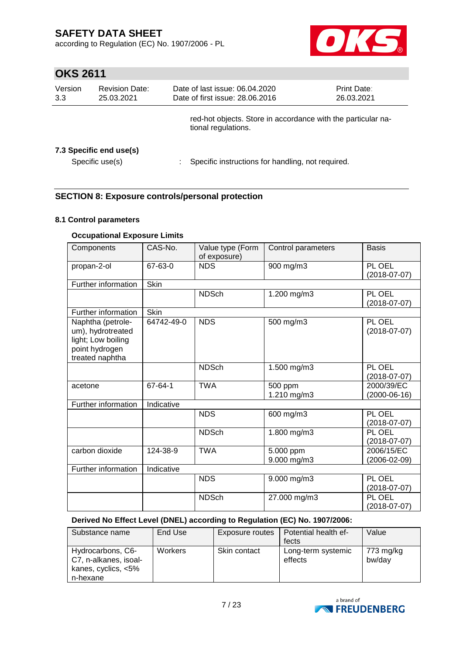according to Regulation (EC) No. 1907/2006 - PL



# **OKS 2611**

| Version<br>3.3 | <b>Revision Date:</b><br>25.03.2021        | Date of last issue: 06.04.2020<br>Date of first issue: 28.06.2016                   | Print Date:<br>26.03.2021 |
|----------------|--------------------------------------------|-------------------------------------------------------------------------------------|---------------------------|
|                |                                            | red-hot objects. Store in accordance with the particular na-<br>tional regulations. |                           |
|                | 7.3 Specific end use(s)<br>Specific use(s) | Specific instructions for handling, not required.                                   |                           |

## **SECTION 8: Exposure controls/personal protection**

## **8.1 Control parameters**

## **Occupational Exposure Limits**

| Components                                                                                        | CAS-No.    | Value type (Form<br>of exposure) | Control parameters       | <b>Basis</b>                     |
|---------------------------------------------------------------------------------------------------|------------|----------------------------------|--------------------------|----------------------------------|
| propan-2-ol                                                                                       | 67-63-0    | <b>NDS</b>                       | 900 mg/m3                | PL OEL<br>$(2018-07-07)$         |
| Further information                                                                               | Skin       |                                  |                          |                                  |
|                                                                                                   |            | <b>NDSch</b>                     | 1.200 mg/m3              | PL OEL<br>$(2018-07-07)$         |
| Further information                                                                               | Skin       |                                  |                          |                                  |
| Naphtha (petrole-<br>um), hydrotreated<br>light; Low boiling<br>point hydrogen<br>treated naphtha | 64742-49-0 | <b>NDS</b>                       | 500 mg/m3                | PL OEL<br>$(2018-07-07)$         |
|                                                                                                   |            | <b>NDSch</b>                     | 1.500 mg/m3              | PL OEL<br>$(2018-07-07)$         |
| acetone                                                                                           | 67-64-1    | <b>TWA</b>                       | 500 ppm<br>1.210 mg/m3   | 2000/39/EC<br>$(2000-06-16)$     |
| Further information                                                                               | Indicative |                                  |                          |                                  |
|                                                                                                   |            | <b>NDS</b>                       | 600 mg/m3                | PL OEL<br>$(2018-07-07)$         |
|                                                                                                   |            | <b>NDSch</b>                     | 1.800 mg/m3              | PL OEL<br>$(2018-07-07)$         |
| carbon dioxide                                                                                    | 124-38-9   | <b>TWA</b>                       | 5.000 ppm<br>9.000 mg/m3 | 2006/15/EC<br>$(2006 - 02 - 09)$ |
| Further information                                                                               | Indicative |                                  |                          |                                  |
|                                                                                                   |            | <b>NDS</b>                       | 9.000 mg/m3              | PL OEL<br>$(2018-07-07)$         |
|                                                                                                   |            | <b>NDSch</b>                     | 27.000 mg/m3             | PL OEL<br>$(2018-07-07)$         |

## **Derived No Effect Level (DNEL) according to Regulation (EC) No. 1907/2006:**

| Substance name                                                                | End Use        | Exposure routes | l Potential health ef-        | Value               |
|-------------------------------------------------------------------------------|----------------|-----------------|-------------------------------|---------------------|
|                                                                               |                |                 | fects                         |                     |
| Hydrocarbons, C6-<br>C7, n-alkanes, isoal-<br>kanes, cyclics, <5%<br>n-hexane | <b>Workers</b> | Skin contact    | Long-term systemic<br>effects | 773 mg/kg<br>bw/day |

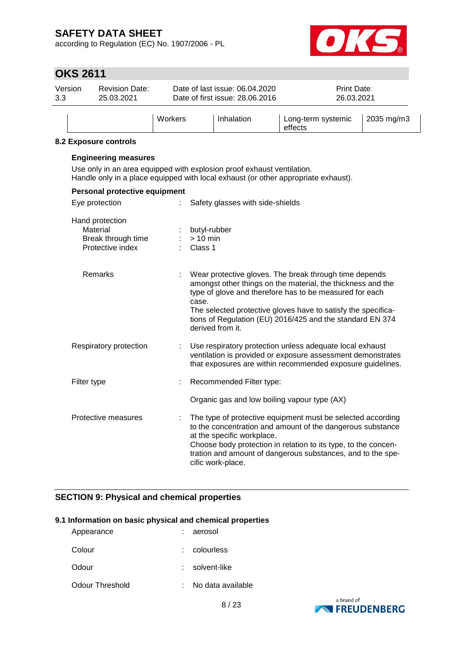according to Regulation (EC) No. 1907/2006 - PL



# **OKS 2611**

| Version<br>3.3 | <b>Revision Date:</b><br>25.03.2021 |                | Date of last issue: 06.04.2020<br>Date of first issue: 28.06.2016 | Print Date:<br>26.03.2021     |            |
|----------------|-------------------------------------|----------------|-------------------------------------------------------------------|-------------------------------|------------|
|                |                                     | <b>Workers</b> | Inhalation                                                        | Long-term systemic<br>effects | 2035 mg/m3 |

### **8.2 Exposure controls**

### **Engineering measures**

Use only in an area equipped with explosion proof exhaust ventilation. Handle only in a place equipped with local exhaust (or other appropriate exhaust).

| Personal protective equipment                                         |                                                                                                                                                                                                                                                                                                                                             |
|-----------------------------------------------------------------------|---------------------------------------------------------------------------------------------------------------------------------------------------------------------------------------------------------------------------------------------------------------------------------------------------------------------------------------------|
| Eye protection                                                        | Safety glasses with side-shields                                                                                                                                                                                                                                                                                                            |
| Hand protection<br>Material<br>Break through time<br>Protective index | butyl-rubber<br>$> 10$ min<br>Class 1                                                                                                                                                                                                                                                                                                       |
| Remarks                                                               | Wear protective gloves. The break through time depends<br>amongst other things on the material, the thickness and the<br>type of glove and therefore has to be measured for each<br>case.<br>The selected protective gloves have to satisfy the specifica-<br>tions of Regulation (EU) 2016/425 and the standard EN 374<br>derived from it. |
| Respiratory protection                                                | Use respiratory protection unless adequate local exhaust<br>ventilation is provided or exposure assessment demonstrates<br>that exposures are within recommended exposure guidelines.                                                                                                                                                       |
| Filter type                                                           | Recommended Filter type:                                                                                                                                                                                                                                                                                                                    |
|                                                                       | Organic gas and low boiling vapour type (AX)                                                                                                                                                                                                                                                                                                |
| Protective measures                                                   | The type of protective equipment must be selected according<br>to the concentration and amount of the dangerous substance<br>at the specific workplace.<br>Choose body protection in relation to its type, to the concen-<br>tration and amount of dangerous substances, and to the spe-<br>cific work-place.                               |

## **SECTION 9: Physical and chemical properties**

### **9.1 Information on basic physical and chemical properties**

| Appearance      | : aerosol         |
|-----------------|-------------------|
| Colour          | colourless        |
| Odour           | solvent-like      |
| Odour Threshold | No data available |

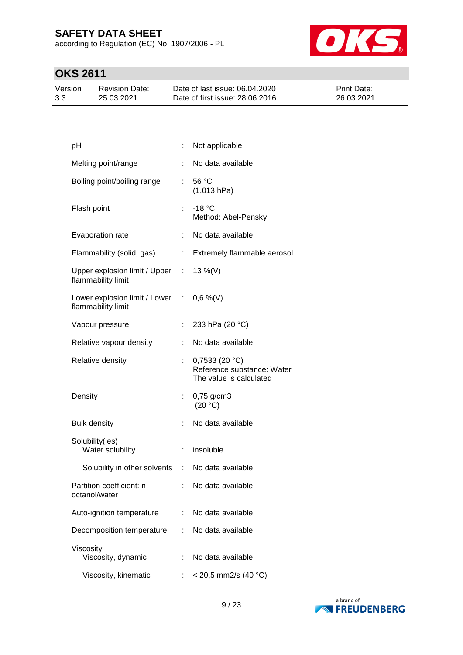according to Regulation (EC) No. 1907/2006 - PL



| Version | <b>Revision Date:</b> | Date of last issue: 06.04.2020  | <b>Print Date:</b> |
|---------|-----------------------|---------------------------------|--------------------|
| 3.3     | 25.03.2021            | Date of first issue: 28,06,2016 | 26.03.2021         |

| pH                                                             | t                            | Not applicable                                                         |
|----------------------------------------------------------------|------------------------------|------------------------------------------------------------------------|
| Melting point/range                                            |                              | No data available                                                      |
| Boiling point/boiling range                                    |                              | : $56 °C$<br>(1.013 hPa)                                               |
| Flash point                                                    | $\mathbb{R}^{\mathbb{Z}}$    | $-18 °C$<br>Method: Abel-Pensky                                        |
| Evaporation rate                                               | ÷.                           | No data available                                                      |
| Flammability (solid, gas)                                      | $\mathcal{L}_{\mathrm{max}}$ | Extremely flammable aerosol.                                           |
| Upper explosion limit / Upper :<br>flammability limit          |                              | 13 %(V)                                                                |
| Lower explosion limit / Lower : 0,6 %(V)<br>flammability limit |                              |                                                                        |
| Vapour pressure                                                | t.                           | 233 hPa (20 °C)                                                        |
| Relative vapour density                                        | t.                           | No data available                                                      |
| Relative density                                               |                              | 0,7533(20 °C)<br>Reference substance: Water<br>The value is calculated |
| Density                                                        |                              | $0,75$ g/cm3<br>(20 °C)                                                |
| <b>Bulk density</b>                                            |                              | No data available                                                      |
| Solubility(ies)<br>Water solubility                            | $\mathcal{L}_{\mathrm{max}}$ | insoluble                                                              |
| Solubility in other solvents : No data available               |                              |                                                                        |
| Partition coefficient: n-<br>octanol/water                     |                              | No data available                                                      |
| Auto-ignition temperature                                      | ÷.                           | No data available                                                      |
| Decomposition temperature                                      | ÷.                           | No data available                                                      |
| Viscosity<br>Viscosity, dynamic                                |                              | No data available                                                      |
| Viscosity, kinematic                                           | ÷.                           | $<$ 20,5 mm2/s (40 °C)                                                 |

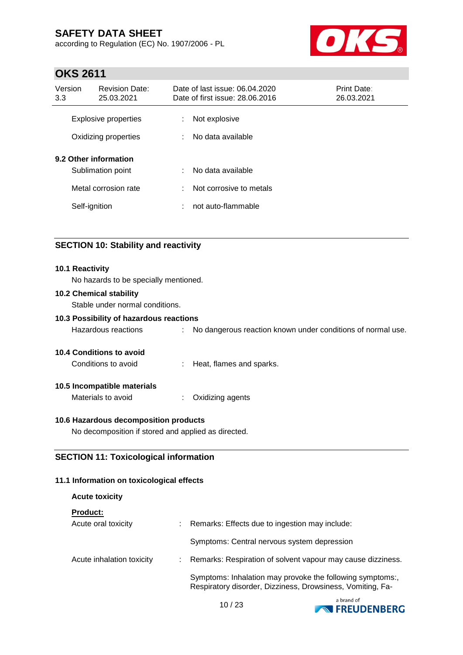according to Regulation (EC) No. 1907/2006 - PL



## **OKS 2611**

| Version<br>3.3 | <b>Revision Date:</b><br>25.03.2021                                                 |   | Date of last issue: 06.04.2020<br>Date of first issue: 28,06,2016  | <b>Print Date:</b><br>26.03.2021 |
|----------------|-------------------------------------------------------------------------------------|---|--------------------------------------------------------------------|----------------------------------|
|                | <b>Explosive properties</b>                                                         | ÷ | Not explosive                                                      |                                  |
|                | Oxidizing properties                                                                | ÷ | No data available                                                  |                                  |
|                | 9.2 Other information<br>Sublimation point<br>Metal corrosion rate<br>Self-ignition |   | No data available<br>Not corrosive to metals<br>not auto-flammable |                                  |
|                |                                                                                     |   |                                                                    |                                  |

## **SECTION 10: Stability and reactivity**

#### **10.1 Reactivity**

No hazards to be specially mentioned.

### **10.2 Chemical stability**

Stable under normal conditions.

### **10.3 Possibility of hazardous reactions**

Hazardous reactions : No dangerous reaction known under conditions of normal use.

### **10.4 Conditions to avoid**

Conditions to avoid : Heat, flames and sparks.

### **10.5 Incompatible materials**

Materials to avoid : Oxidizing agents

### **10.6 Hazardous decomposition products**

No decomposition if stored and applied as directed.

## **SECTION 11: Toxicological information**

### **11.1 Information on toxicological effects**

| <b>Acute toxicity</b>     |                                                                                                                         |
|---------------------------|-------------------------------------------------------------------------------------------------------------------------|
| <b>Product:</b>           |                                                                                                                         |
| Acute oral toxicity       | Remarks: Effects due to ingestion may include:                                                                          |
|                           | Symptoms: Central nervous system depression                                                                             |
| Acute inhalation toxicity | Remarks: Respiration of solvent vapour may cause dizziness.                                                             |
|                           | Symptoms: Inhalation may provoke the following symptoms:,<br>Respiratory disorder, Dizziness, Drowsiness, Vomiting, Fa- |

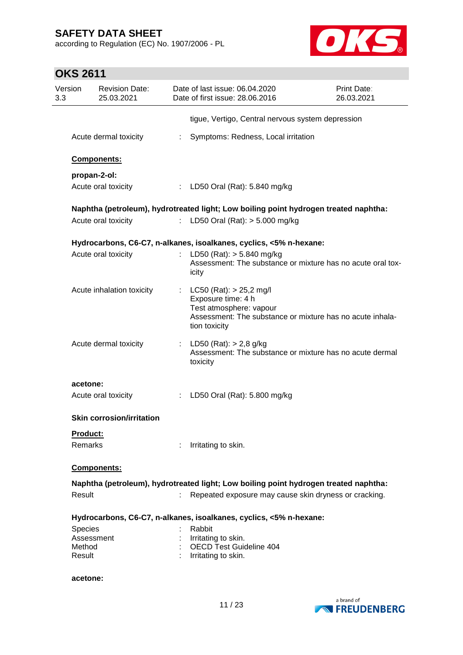according to Regulation (EC) No. 1907/2006 - PL



| Version<br>3.3   | <b>Revision Date:</b><br>25.03.2021 |                | Date of last issue: 06.04.2020<br>Date of first issue: 28.06.2016                                                                                      | Print Date:<br>26.03.2021 |
|------------------|-------------------------------------|----------------|--------------------------------------------------------------------------------------------------------------------------------------------------------|---------------------------|
|                  |                                     |                | tigue, Vertigo, Central nervous system depression                                                                                                      |                           |
|                  | Acute dermal toxicity               |                | Symptoms: Redness, Local irritation                                                                                                                    |                           |
|                  | Components:                         |                |                                                                                                                                                        |                           |
|                  | propan-2-ol:                        |                |                                                                                                                                                        |                           |
|                  | Acute oral toxicity                 |                | : LD50 Oral (Rat): 5.840 mg/kg                                                                                                                         |                           |
|                  |                                     |                | Naphtha (petroleum), hydrotreated light; Low boiling point hydrogen treated naphtha:                                                                   |                           |
|                  | Acute oral toxicity                 |                | LD50 Oral (Rat): $> 5.000$ mg/kg                                                                                                                       |                           |
|                  |                                     |                | Hydrocarbons, C6-C7, n-alkanes, isoalkanes, cyclics, <5% n-hexane:                                                                                     |                           |
|                  | Acute oral toxicity                 | $\mathbb{R}^n$ | LD50 (Rat): $> 5.840$ mg/kg<br>Assessment: The substance or mixture has no acute oral tox-<br>icity                                                    |                           |
|                  | Acute inhalation toxicity           |                | LC50 (Rat): > 25,2 mg/l<br>Exposure time: 4 h<br>Test atmosphere: vapour<br>Assessment: The substance or mixture has no acute inhala-<br>tion toxicity |                           |
|                  | Acute dermal toxicity               |                | LD50 (Rat): > 2,8 g/kg<br>Assessment: The substance or mixture has no acute dermal<br>toxicity                                                         |                           |
| acetone:         |                                     |                |                                                                                                                                                        |                           |
|                  | Acute oral toxicity                 |                | LD50 Oral (Rat): 5.800 mg/kg                                                                                                                           |                           |
|                  | <b>Skin corrosion/irritation</b>    |                |                                                                                                                                                        |                           |
| Product:         |                                     |                |                                                                                                                                                        |                           |
| <b>Remarks</b>   |                                     |                | Irritating to skin.                                                                                                                                    |                           |
|                  | Components:                         |                |                                                                                                                                                        |                           |
|                  |                                     |                | Naphtha (petroleum), hydrotreated light; Low boiling point hydrogen treated naphtha:                                                                   |                           |
| Result           |                                     |                | Repeated exposure may cause skin dryness or cracking.                                                                                                  |                           |
|                  |                                     |                | Hydrocarbons, C6-C7, n-alkanes, isoalkanes, cyclics, <5% n-hexane:                                                                                     |                           |
| Species          |                                     |                | Rabbit                                                                                                                                                 |                           |
|                  | Assessment                          |                | Irritating to skin.                                                                                                                                    |                           |
| Method<br>Result |                                     |                | <b>OECD Test Guideline 404</b><br>Irritating to skin.                                                                                                  |                           |
| acetone:         |                                     |                |                                                                                                                                                        |                           |

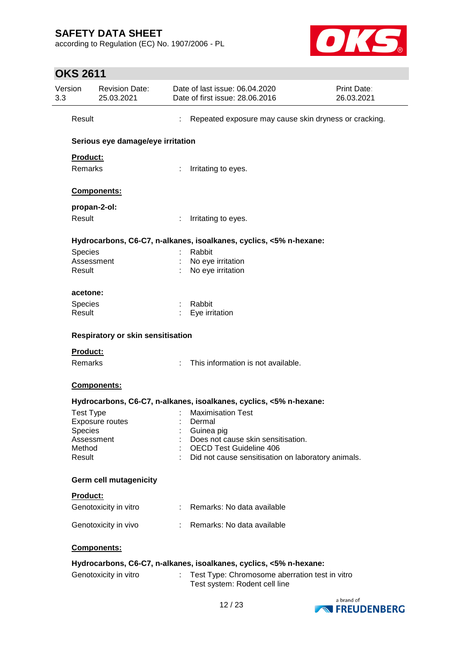according to Regulation (EC) No. 1907/2006 - PL



| Version<br>3.3           | <b>Revision Date:</b><br>25.03.2021 |   | Date of last issue: 06.04.2020<br>Date of first issue: 28.06.2016                              | <b>Print Date:</b><br>26.03.2021 |
|--------------------------|-------------------------------------|---|------------------------------------------------------------------------------------------------|----------------------------------|
| Result                   |                                     | ÷ | Repeated exposure may cause skin dryness or cracking.                                          |                                  |
|                          | Serious eye damage/eye irritation   |   |                                                                                                |                                  |
| Product:                 |                                     |   |                                                                                                |                                  |
| Remarks                  |                                     |   | Irritating to eyes.                                                                            |                                  |
|                          | <b>Components:</b>                  |   |                                                                                                |                                  |
|                          | propan-2-ol:                        |   |                                                                                                |                                  |
| Result                   |                                     | ÷ | Irritating to eyes.                                                                            |                                  |
|                          |                                     |   | Hydrocarbons, C6-C7, n-alkanes, isoalkanes, cyclics, <5% n-hexane:                             |                                  |
| Species                  |                                     |   | Rabbit                                                                                         |                                  |
|                          | Assessment                          |   | No eye irritation                                                                              |                                  |
| Result                   |                                     |   | No eye irritation                                                                              |                                  |
| acetone:                 |                                     |   |                                                                                                |                                  |
| <b>Species</b><br>Result |                                     |   | Rabbit<br>Eye irritation                                                                       |                                  |
|                          | Respiratory or skin sensitisation   |   |                                                                                                |                                  |
| Product:                 |                                     |   |                                                                                                |                                  |
| Remarks                  |                                     |   | : This information is not available.                                                           |                                  |
|                          |                                     |   |                                                                                                |                                  |
|                          | Components:                         |   |                                                                                                |                                  |
|                          |                                     |   | Hydrocarbons, C6-C7, n-alkanes, isoalkanes, cyclics, <5% n-hexane:<br><b>Maximisation Test</b> |                                  |
| <b>Test Type</b>         | Exposure routes                     |   | Dermal                                                                                         |                                  |
| Species                  |                                     |   | Guinea pig                                                                                     |                                  |
|                          | Assessment                          |   | Does not cause skin sensitisation.                                                             |                                  |
| Method                   |                                     |   | <b>OECD Test Guideline 406</b>                                                                 |                                  |
| Result                   |                                     |   | Did not cause sensitisation on laboratory animals.                                             |                                  |
|                          | <b>Germ cell mutagenicity</b>       |   |                                                                                                |                                  |
| Product:                 |                                     |   |                                                                                                |                                  |
|                          | Genotoxicity in vitro               |   | : Remarks: No data available                                                                   |                                  |
|                          | Genotoxicity in vivo                |   | : Remarks: No data available                                                                   |                                  |
|                          | Components:                         |   |                                                                                                |                                  |
|                          |                                     |   | Hydrocarbons, C6-C7, n-alkanes, isoalkanes, cyclics, <5% n-hexane:                             |                                  |
|                          | Genotoxicity in vitro               |   | Test Type: Chromosome aberration test in vitro<br>Test system: Rodent cell line                |                                  |

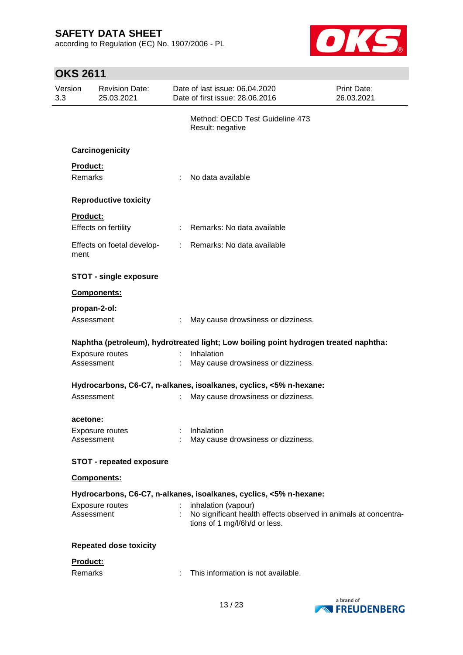**OKS 2611**

according to Regulation (EC) No. 1907/2006 - PL



| Version<br>3.3 |                 | <b>Revision Date:</b><br>25.03.2021 |                | Date of last issue: 06.04.2020<br>Date of first issue: 28.06.2016                                                       | <b>Print Date:</b><br>26.03.2021 |
|----------------|-----------------|-------------------------------------|----------------|-------------------------------------------------------------------------------------------------------------------------|----------------------------------|
|                |                 |                                     |                | Method: OECD Test Guideline 473<br>Result: negative                                                                     |                                  |
|                |                 | Carcinogenicity                     |                |                                                                                                                         |                                  |
|                | Product:        |                                     |                |                                                                                                                         |                                  |
|                | Remarks         |                                     |                | No data available                                                                                                       |                                  |
|                |                 | <b>Reproductive toxicity</b>        |                |                                                                                                                         |                                  |
|                | <b>Product:</b> |                                     |                |                                                                                                                         |                                  |
|                |                 | Effects on fertility                |                | Remarks: No data available                                                                                              |                                  |
|                | ment            | Effects on foetal develop-          | $\mathbb{R}^n$ | Remarks: No data available                                                                                              |                                  |
|                |                 | <b>STOT - single exposure</b>       |                |                                                                                                                         |                                  |
|                |                 | Components:                         |                |                                                                                                                         |                                  |
|                |                 | propan-2-ol:                        |                |                                                                                                                         |                                  |
|                | Assessment      |                                     |                | May cause drowsiness or dizziness.                                                                                      |                                  |
|                |                 |                                     |                | Naphtha (petroleum), hydrotreated light; Low boiling point hydrogen treated naphtha:                                    |                                  |
|                |                 | <b>Exposure routes</b>              |                | Inhalation                                                                                                              |                                  |
|                | Assessment      |                                     |                | May cause drowsiness or dizziness.                                                                                      |                                  |
|                |                 |                                     |                | Hydrocarbons, C6-C7, n-alkanes, isoalkanes, cyclics, <5% n-hexane:                                                      |                                  |
|                | Assessment      |                                     |                | May cause drowsiness or dizziness.                                                                                      |                                  |
|                |                 |                                     |                |                                                                                                                         |                                  |
|                | acetone:        |                                     |                |                                                                                                                         |                                  |
|                | Assessment      | Exposure routes                     |                | Inhalation<br>May cause drowsiness or dizziness.                                                                        |                                  |
|                |                 |                                     |                |                                                                                                                         |                                  |
|                |                 | <b>STOT - repeated exposure</b>     |                |                                                                                                                         |                                  |
|                |                 | Components:                         |                |                                                                                                                         |                                  |
|                |                 |                                     |                | Hydrocarbons, C6-C7, n-alkanes, isoalkanes, cyclics, <5% n-hexane:                                                      |                                  |
|                | Assessment      | <b>Exposure routes</b>              |                | inhalation (vapour)<br>No significant health effects observed in animals at concentra-<br>tions of 1 mg/l/6h/d or less. |                                  |
|                |                 | <b>Repeated dose toxicity</b>       |                |                                                                                                                         |                                  |
|                | Product:        |                                     |                |                                                                                                                         |                                  |
|                | Remarks         |                                     |                | This information is not available.                                                                                      |                                  |

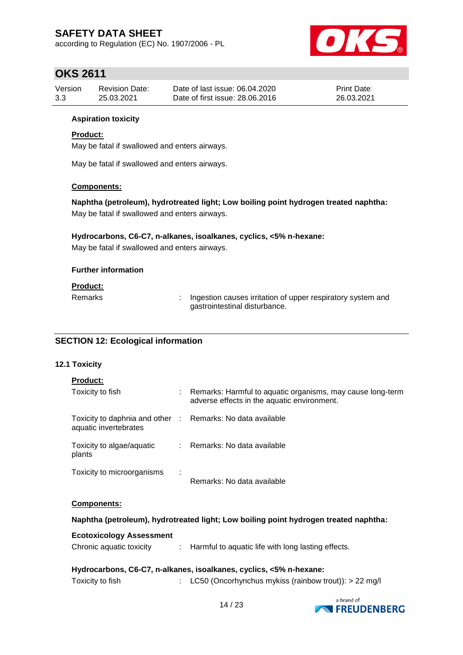according to Regulation (EC) No. 1907/2006 - PL



## **OKS 2611**

| Version | Revision Date: | Date of last issue: 06.04.2020  | <b>Print Date:</b> |
|---------|----------------|---------------------------------|--------------------|
| 3.3     | 25.03.2021     | Date of first issue: 28,06,2016 | 26.03.2021         |

### **Aspiration toxicity**

### **Product:**

May be fatal if swallowed and enters airways.

May be fatal if swallowed and enters airways.

### **Components:**

**Naphtha (petroleum), hydrotreated light; Low boiling point hydrogen treated naphtha:** May be fatal if swallowed and enters airways.

## **Hydrocarbons, C6-C7, n-alkanes, isoalkanes, cyclics, <5% n-hexane:** May be fatal if swallowed and enters airways.

### **Further information**

### **Product:**

Remarks : Ingestion causes irritation of upper respiratory system and gastrointestinal disturbance.

## **SECTION 12: Ecological information**

### **12.1 Toxicity**

|--|

| Toxicity to fish                                         | ÷  | Remarks: Harmful to aquatic organisms, may cause long-term<br>adverse effects in the aquatic environment. |
|----------------------------------------------------------|----|-----------------------------------------------------------------------------------------------------------|
| Toxicity to daphnia and other :<br>aquatic invertebrates |    | Remarks: No data available                                                                                |
| Toxicity to algae/aquatic<br>plants                      | t. | Remarks: No data available                                                                                |
| Toxicity to microorganisms                               | ÷  | Remarks: No data available                                                                                |

### **Components:**

### **Naphtha (petroleum), hydrotreated light; Low boiling point hydrogen treated naphtha:**

#### **Ecotoxicology Assessment** Chronic aquatic toxicity : Harmful to aquatic life with long lasting effects.

| of homo agaano toxiony | rannum to aquatio ino with long labing onobto. |
|------------------------|------------------------------------------------|
|                        |                                                |
|                        |                                                |

### **Hydrocarbons, C6-C7, n-alkanes, isoalkanes, cyclics, <5% n-hexane:**

Toxicity to fish : LC50 (Oncorhynchus mykiss (rainbow trout)): > 22 mg/l

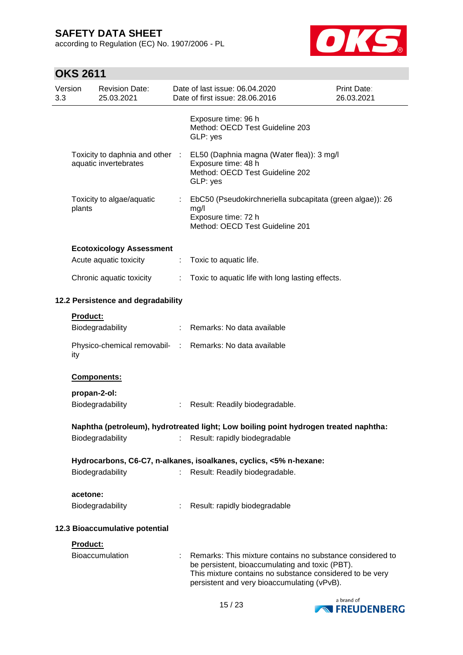according to Regulation (EC) No. 1907/2006 - PL



| Version<br>3.3 |                 | <b>Revision Date:</b><br>25.03.2021                       |                           | Date of last issue: 06.04.2020<br>Date of first issue: 28.06.2016                                                                                                                                                       | <b>Print Date:</b><br>26.03.2021 |
|----------------|-----------------|-----------------------------------------------------------|---------------------------|-------------------------------------------------------------------------------------------------------------------------------------------------------------------------------------------------------------------------|----------------------------------|
|                |                 |                                                           |                           | Exposure time: 96 h<br>Method: OECD Test Guideline 203<br>GLP: yes                                                                                                                                                      |                                  |
|                |                 | aquatic invertebrates                                     |                           | Toxicity to daphnia and other : EL50 (Daphnia magna (Water flea)): 3 mg/l<br>Exposure time: 48 h<br>Method: OECD Test Guideline 202<br>GLP: yes                                                                         |                                  |
|                | plants          | Toxicity to algae/aquatic                                 | t.                        | EbC50 (Pseudokirchneriella subcapitata (green algae)): 26<br>mg/l<br>Exposure time: 72 h<br>Method: OECD Test Guideline 201                                                                                             |                                  |
|                |                 |                                                           |                           |                                                                                                                                                                                                                         |                                  |
|                |                 | <b>Ecotoxicology Assessment</b><br>Acute aquatic toxicity | $\mathbb{Z}^{\mathbb{Z}}$ | Toxic to aquatic life.                                                                                                                                                                                                  |                                  |
|                |                 | Chronic aquatic toxicity                                  |                           | : Toxic to aquatic life with long lasting effects.                                                                                                                                                                      |                                  |
|                |                 | 12.2 Persistence and degradability                        |                           |                                                                                                                                                                                                                         |                                  |
|                | <b>Product:</b> | Biodegradability                                          |                           | : Remarks: No data available                                                                                                                                                                                            |                                  |
|                | ity             |                                                           |                           | Physico-chemical removabil- : Remarks: No data available                                                                                                                                                                |                                  |
|                | Components:     |                                                           |                           |                                                                                                                                                                                                                         |                                  |
|                | propan-2-ol:    |                                                           |                           |                                                                                                                                                                                                                         |                                  |
|                |                 | Biodegradability                                          | t.                        | Result: Readily biodegradable.                                                                                                                                                                                          |                                  |
|                |                 |                                                           |                           | Naphtha (petroleum), hydrotreated light; Low boiling point hydrogen treated naphtha:                                                                                                                                    |                                  |
|                |                 | Biodegradability                                          | t.                        | Result: rapidly biodegradable                                                                                                                                                                                           |                                  |
|                |                 |                                                           |                           | Hydrocarbons, C6-C7, n-alkanes, isoalkanes, cyclics, <5% n-hexane:                                                                                                                                                      |                                  |
|                |                 | Biodegradability                                          | $\mathbb{R}^{\mathbb{Z}}$ | Result: Readily biodegradable.                                                                                                                                                                                          |                                  |
|                | acetone:        |                                                           |                           |                                                                                                                                                                                                                         |                                  |
|                |                 | Biodegradability                                          |                           | Result: rapidly biodegradable                                                                                                                                                                                           |                                  |
|                |                 | 12.3 Bioaccumulative potential                            |                           |                                                                                                                                                                                                                         |                                  |
|                | <b>Product:</b> |                                                           |                           |                                                                                                                                                                                                                         |                                  |
|                |                 | Bioaccumulation                                           |                           | Remarks: This mixture contains no substance considered to<br>be persistent, bioaccumulating and toxic (PBT).<br>This mixture contains no substance considered to be very<br>persistent and very bioaccumulating (vPvB). |                                  |

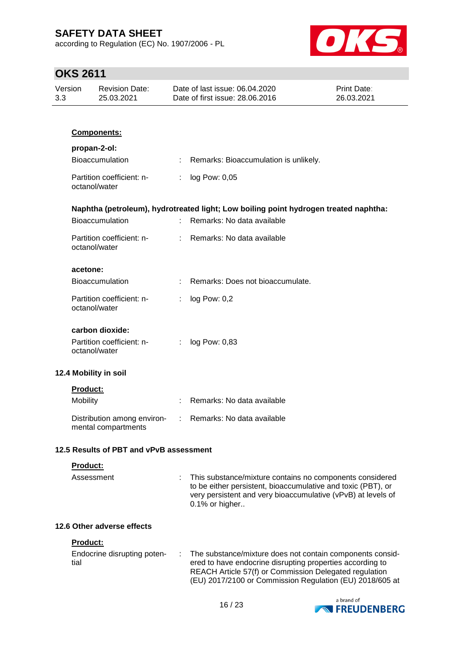according to Regulation (EC) No. 1907/2006 - PL



| Version<br>3.3 | <b>Revision Date:</b><br>25.03.2021                |    | Date of last issue: 06.04.2020<br>Date of first issue: 28.06.2016                                                                                                                                                                            | Print Date:<br>26.03.2021 |
|----------------|----------------------------------------------------|----|----------------------------------------------------------------------------------------------------------------------------------------------------------------------------------------------------------------------------------------------|---------------------------|
|                |                                                    |    |                                                                                                                                                                                                                                              |                           |
|                | Components:                                        |    |                                                                                                                                                                                                                                              |                           |
|                | propan-2-ol:                                       |    |                                                                                                                                                                                                                                              |                           |
|                | Bioaccumulation                                    |    | Remarks: Bioaccumulation is unlikely.                                                                                                                                                                                                        |                           |
|                | Partition coefficient: n-<br>octanol/water         | ÷  | log Pow: 0,05                                                                                                                                                                                                                                |                           |
|                |                                                    |    | Naphtha (petroleum), hydrotreated light; Low boiling point hydrogen treated naphtha:                                                                                                                                                         |                           |
|                | <b>Bioaccumulation</b>                             | ÷. | Remarks: No data available                                                                                                                                                                                                                   |                           |
|                | Partition coefficient: n-<br>octanol/water         | ÷  | Remarks: No data available                                                                                                                                                                                                                   |                           |
|                | acetone:                                           |    |                                                                                                                                                                                                                                              |                           |
|                | <b>Bioaccumulation</b>                             |    | Remarks: Does not bioaccumulate.                                                                                                                                                                                                             |                           |
|                | Partition coefficient: n-<br>octanol/water         | ÷  | log Pow: 0,2                                                                                                                                                                                                                                 |                           |
|                | carbon dioxide:                                    |    |                                                                                                                                                                                                                                              |                           |
|                | Partition coefficient: n-<br>octanol/water         | ÷  | log Pow: 0,83                                                                                                                                                                                                                                |                           |
|                | 12.4 Mobility in soil                              |    |                                                                                                                                                                                                                                              |                           |
|                | <b>Product:</b>                                    |    |                                                                                                                                                                                                                                              |                           |
|                | Mobility                                           |    | Remarks: No data available                                                                                                                                                                                                                   |                           |
|                | Distribution among environ-<br>mental compartments | ÷. | Remarks: No data available                                                                                                                                                                                                                   |                           |
|                | 12.5 Results of PBT and vPvB assessment            |    |                                                                                                                                                                                                                                              |                           |
|                | Product:                                           |    |                                                                                                                                                                                                                                              |                           |
|                | Assessment                                         |    | This substance/mixture contains no components considered<br>to be either persistent, bioaccumulative and toxic (PBT), or<br>very persistent and very bioaccumulative (vPvB) at levels of<br>0.1% or higher                                   |                           |
|                | 12.6 Other adverse effects                         |    |                                                                                                                                                                                                                                              |                           |
|                | <b>Product:</b>                                    |    |                                                                                                                                                                                                                                              |                           |
| tial           | Endocrine disrupting poten-                        | ÷  | The substance/mixture does not contain components consid-<br>ered to have endocrine disrupting properties according to<br>REACH Article 57(f) or Commission Delegated regulation<br>(EU) 2017/2100 or Commission Regulation (EU) 2018/605 at |                           |
|                |                                                    |    | 1010                                                                                                                                                                                                                                         | a brand of                |

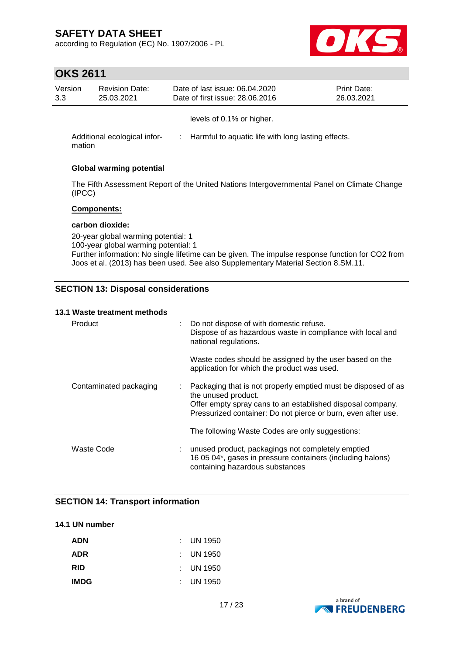according to Regulation (EC) No. 1907/2006 - PL



# **OKS 2611**

| Version<br>3.3 | <b>Revision Date:</b><br>25.03.2021                                         | Date of last issue: 06.04.2020<br>Date of first issue: 28.06.2016                           | <b>Print Date:</b><br>26.03.2021 |  |
|----------------|-----------------------------------------------------------------------------|---------------------------------------------------------------------------------------------|----------------------------------|--|
| mation         | Additional ecological infor-                                                | levels of 0.1% or higher.<br>Harmful to aquatic life with long lasting effects.<br>÷.       |                                  |  |
|                | <b>Global warming potential</b>                                             |                                                                                             |                                  |  |
| (IPCC)         |                                                                             | The Fifth Assessment Report of the United Nations Intergovernmental Panel on Climate Change |                                  |  |
|                | <b>Components:</b>                                                          |                                                                                             |                                  |  |
|                | carbon dioxide:                                                             |                                                                                             |                                  |  |
|                | 20-year global warming potential: 1<br>100-year global warming potential: 1 |                                                                                             |                                  |  |

Further information: No single lifetime can be given. The impulse response function for CO2 from Joos et al. (2013) has been used. See also Supplementary Material Section 8.SM.11.

## **SECTION 13: Disposal considerations**

#### **13.1 Waste treatment methods**

| Product                | : Do not dispose of with domestic refuse.<br>Dispose of as hazardous waste in compliance with local and<br>national regulations.                                                                                      |
|------------------------|-----------------------------------------------------------------------------------------------------------------------------------------------------------------------------------------------------------------------|
|                        | Waste codes should be assigned by the user based on the<br>application for which the product was used.                                                                                                                |
| Contaminated packaging | : Packaging that is not properly emptied must be disposed of as<br>the unused product.<br>Offer empty spray cans to an established disposal company.<br>Pressurized container: Do not pierce or burn, even after use. |
|                        | The following Waste Codes are only suggestions:                                                                                                                                                                       |
| Waste Code             | : unused product, packagings not completely emptied<br>16 05 04*, gases in pressure containers (including halons)<br>containing hazardous substances                                                                  |

## **SECTION 14: Transport information**

#### **14.1 UN number**

| <b>ADN</b>  | $\therefore$ UN 1950 |
|-------------|----------------------|
| <b>ADR</b>  | $\therefore$ UN 1950 |
| <b>RID</b>  | $\therefore$ UN 1950 |
| <b>IMDG</b> | $\therefore$ UN 1950 |

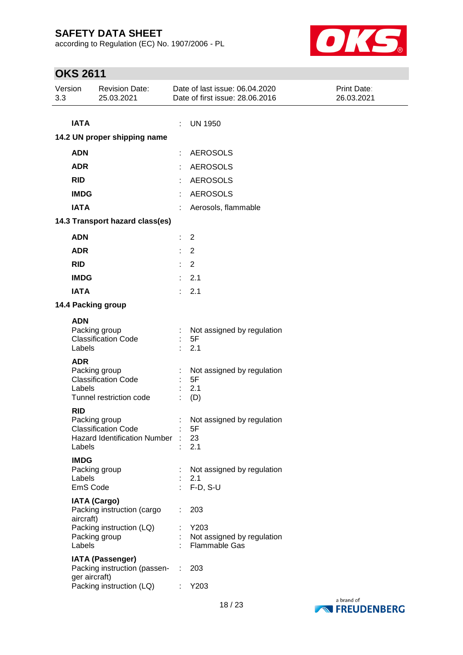according to Regulation (EC) No. 1907/2006 - PL



| Version<br>3.3 |               | <b>Revision Date:</b><br>25.03.2021               |    | Date of last issue: 06.04.2020<br>Date of first issue: 28.06.2016 | Print Date:<br>26.03.2021 |
|----------------|---------------|---------------------------------------------------|----|-------------------------------------------------------------------|---------------------------|
|                |               |                                                   |    |                                                                   |                           |
|                | <b>IATA</b>   |                                                   | ÷  | <b>UN 1950</b>                                                    |                           |
|                |               | 14.2 UN proper shipping name                      |    |                                                                   |                           |
|                | <b>ADN</b>    |                                                   |    | <b>AEROSOLS</b>                                                   |                           |
|                | <b>ADR</b>    |                                                   |    | <b>AEROSOLS</b>                                                   |                           |
|                | <b>RID</b>    |                                                   |    | <b>AEROSOLS</b>                                                   |                           |
|                | <b>IMDG</b>   |                                                   |    | <b>AEROSOLS</b>                                                   |                           |
|                | <b>IATA</b>   |                                                   |    | Aerosols, flammable                                               |                           |
|                |               | 14.3 Transport hazard class(es)                   |    |                                                                   |                           |
|                | <b>ADN</b>    |                                                   | t  | $\overline{2}$                                                    |                           |
|                | <b>ADR</b>    |                                                   | t  | $\overline{2}$                                                    |                           |
|                | <b>RID</b>    |                                                   | t. | $\overline{2}$                                                    |                           |
|                | <b>IMDG</b>   |                                                   | ÷  | 2.1                                                               |                           |
|                | <b>IATA</b>   |                                                   | ÷. | 2.1                                                               |                           |
|                |               | 14.4 Packing group                                |    |                                                                   |                           |
|                | <b>ADN</b>    |                                                   |    |                                                                   |                           |
|                |               | Packing group                                     |    | Not assigned by regulation                                        |                           |
|                | Labels        | <b>Classification Code</b>                        |    | 5F<br>2.1                                                         |                           |
|                | <b>ADR</b>    |                                                   |    |                                                                   |                           |
|                |               | Packing group                                     |    | Not assigned by regulation                                        |                           |
|                | Labels        | <b>Classification Code</b>                        |    | 5F<br>2.1                                                         |                           |
|                |               | Tunnel restriction code                           |    | (D)                                                               |                           |
|                | <b>RID</b>    |                                                   |    |                                                                   |                           |
|                |               | Packing group<br><b>Classification Code</b>       |    | Not assigned by regulation<br>5F                                  |                           |
|                |               | Hazard Identification Number :                    |    | 23                                                                |                           |
|                | Labels        |                                                   |    | 2.1                                                               |                           |
|                | <b>IMDG</b>   | Packing group                                     |    | Not assigned by regulation                                        |                           |
|                | Labels        |                                                   |    | 2.1                                                               |                           |
|                | EmS Code      |                                                   |    | $F-D, S-U$                                                        |                           |
|                |               | <b>IATA (Cargo)</b><br>Packing instruction (cargo |    | 203                                                               |                           |
|                | aircraft)     |                                                   |    |                                                                   |                           |
|                |               | Packing instruction (LQ)<br>Packing group         |    | Y203                                                              |                           |
|                | Labels        |                                                   |    | Not assigned by regulation<br><b>Flammable Gas</b>                |                           |
|                |               | <b>IATA (Passenger)</b>                           |    |                                                                   |                           |
|                | ger aircraft) | Packing instruction (passen-                      | ÷  | 203                                                               |                           |
|                |               | Packing instruction (LQ)                          |    | Y203                                                              |                           |

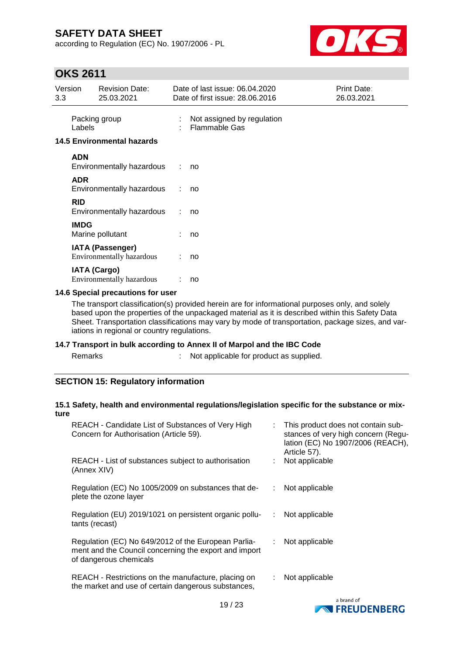according to Regulation (EC) No. 1907/2006 - PL



## **OKS 2611**

| Version<br>3.3 |                     | <b>Revision Date:</b><br>25.03.2021                  |                | Date of last issue: 06.04.2020<br>Date of first issue: 28,06,2016 | Print Date:<br>26.03.2021 |
|----------------|---------------------|------------------------------------------------------|----------------|-------------------------------------------------------------------|---------------------------|
|                | Labels              | Packing group                                        |                | Not assigned by regulation<br><b>Flammable Gas</b>                |                           |
|                |                     | <b>14.5 Environmental hazards</b>                    |                |                                                                   |                           |
|                | <b>ADN</b>          | Environmentally hazardous                            | $\mathbb{R}^n$ | no                                                                |                           |
|                | <b>ADR</b>          | Environmentally hazardous                            | ÷              | no                                                                |                           |
|                | <b>RID</b>          | Environmentally hazardous                            |                | no                                                                |                           |
|                | <b>IMDG</b>         | Marine pollutant                                     |                | no                                                                |                           |
|                |                     | <b>IATA (Passenger)</b><br>Environmentally hazardous |                | no                                                                |                           |
|                | <b>IATA (Cargo)</b> | Environmentally hazardous                            |                | no                                                                |                           |

### **14.6 Special precautions for user**

The transport classification(s) provided herein are for informational purposes only, and solely based upon the properties of the unpackaged material as it is described within this Safety Data Sheet. Transportation classifications may vary by mode of transportation, package sizes, and variations in regional or country regulations.

### **14.7 Transport in bulk according to Annex II of Marpol and the IBC Code**

s and  $\mathbf{R}$ : Not applicable for product as supplied.

## **SECTION 15: Regulatory information**

#### **15.1 Safety, health and environmental regulations/legislation specific for the substance or mixture**

| REACH - Candidate List of Substances of Very High<br>Concern for Authorisation (Article 59).                                           |    | : This product does not contain sub-<br>stances of very high concern (Regu-<br>lation (EC) No 1907/2006 (REACH),<br>Article 57). |
|----------------------------------------------------------------------------------------------------------------------------------------|----|----------------------------------------------------------------------------------------------------------------------------------|
| REACH - List of substances subject to authorisation<br>(Annex XIV)                                                                     |    | Not applicable                                                                                                                   |
| Regulation (EC) No 1005/2009 on substances that de-<br>plete the ozone layer                                                           | ÷  | Not applicable                                                                                                                   |
| Regulation (EU) 2019/1021 on persistent organic pollu-<br>tants (recast)                                                               | ÷  | Not applicable                                                                                                                   |
| Regulation (EC) No 649/2012 of the European Parlia-<br>ment and the Council concerning the export and import<br>of dangerous chemicals | ÷. | Not applicable                                                                                                                   |
| REACH - Restrictions on the manufacture, placing on<br>the market and use of certain dangerous substances,                             |    | Not applicable                                                                                                                   |
|                                                                                                                                        |    | a brand of                                                                                                                       |

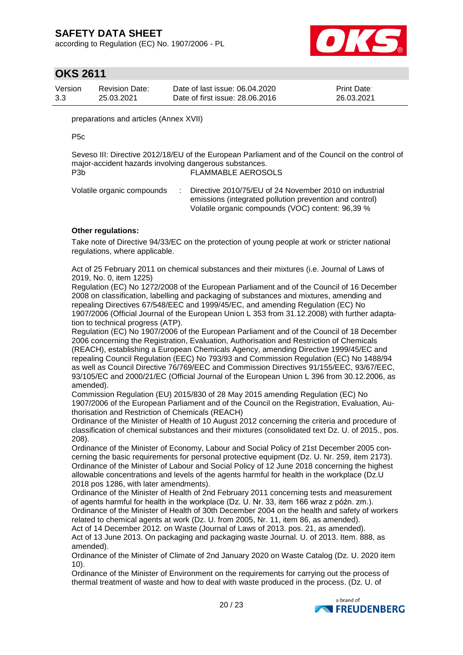according to Regulation (EC) No. 1907/2006 - PL



## **OKS 2611**

| Version | <b>Revision Date:</b> | Date of last issue: 06.04.2020  | <b>Print Date:</b> |
|---------|-----------------------|---------------------------------|--------------------|
| 3.3     | 25.03.2021            | Date of first issue: 28.06.2016 | 26.03.2021         |

preparations and articles (Annex XVII)

P5c

Seveso III: Directive 2012/18/EU of the European Parliament and of the Council on the control of major-accident hazards involving dangerous substances. P3b FLAMMABLE AEROSOLS

Volatile organic compounds : Directive 2010/75/EU of 24 November 2010 on industrial emissions (integrated pollution prevention and control) Volatile organic compounds (VOC) content: 96,39 %

### **Other regulations:**

Take note of Directive 94/33/EC on the protection of young people at work or stricter national regulations, where applicable.

Act of 25 February 2011 on chemical substances and their mixtures (i.e. Journal of Laws of 2019, No. 0, item 1225)

Regulation (EC) No 1272/2008 of the European Parliament and of the Council of 16 December 2008 on classification, labelling and packaging of substances and mixtures, amending and repealing Directives 67/548/EEC and 1999/45/EC, and amending Regulation (EC) No 1907/2006 (Official Journal of the European Union L 353 from 31.12.2008) with further adaptation to technical progress (ATP).

Regulation (EC) No 1907/2006 of the European Parliament and of the Council of 18 December 2006 concerning the Registration, Evaluation, Authorisation and Restriction of Chemicals (REACH), establishing a European Chemicals Agency, amending Directive 1999/45/EC and repealing Council Regulation (EEC) No 793/93 and Commission Regulation (EC) No 1488/94 as well as Council Directive 76/769/EEC and Commission Directives 91/155/EEC, 93/67/EEC, 93/105/EC and 2000/21/EC (Official Journal of the European Union L 396 from 30.12.2006, as amended).

Commission Regulation (EU) 2015/830 of 28 May 2015 amending Regulation (EC) No 1907/2006 of the European Parliament and of the Council on the Registration, Evaluation, Authorisation and Restriction of Chemicals (REACH)

Ordinance of the Minister of Health of 10 August 2012 concerning the criteria and procedure of classification of chemical substances and their mixtures (consolidated text Dz. U. of 2015., pos. 208).

Ordinance of the Minister of Economy, Labour and Social Policy of 21st December 2005 concerning the basic requirements for personal protective equipment (Dz. U. Nr. 259, item 2173). Ordinance of the Minister of Labour and Social Policy of 12 June 2018 concerning the highest allowable concentrations and levels of the agents harmful for health in the workplace (Dz.U 2018 pos 1286, with later amendments).

Ordinance of the Minister of Health of 2nd February 2011 concerning tests and measurement of agents harmful for health in the workplace (Dz. U. Nr. 33, item 166 wraz z późn. zm.). Ordinance of the Minister of Health of 30th December 2004 on the health and safety of workers related to chemical agents at work (Dz. U. from 2005, Nr. 11, item 86, as amended).

Act of 14 December 2012. on Waste (Journal of Laws of 2013. pos. 21, as amended). Act of 13 June 2013. On packaging and packaging waste Journal. U. of 2013. Item. 888, as amended).

Ordinance of the Minister of Climate of 2nd January 2020 on Waste Catalog (Dz. U. 2020 item 10).

Ordinance of the Minister of Environment on the requirements for carrying out the process of thermal treatment of waste and how to deal with waste produced in the process. (Dz. U. of

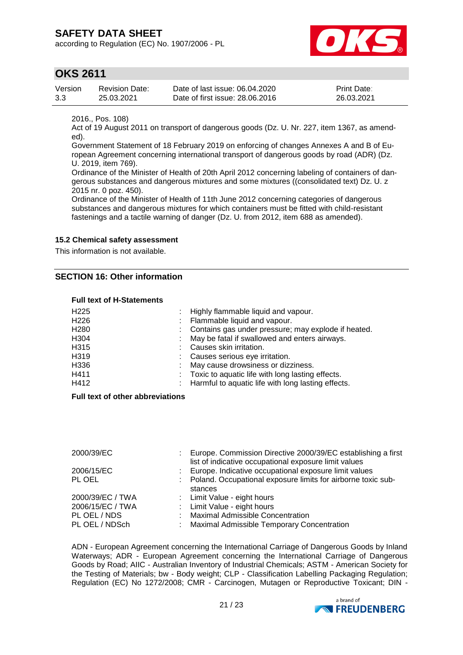according to Regulation (EC) No. 1907/2006 - PL



## **OKS 2611**

| Version | <b>Revision Date:</b> | Date of last issue: 06.04.2020  | <b>Print Date:</b> |
|---------|-----------------------|---------------------------------|--------------------|
| 3.3     | 25.03.2021            | Date of first issue: 28,06,2016 | 26.03.2021         |

2016., Pos. 108)

Act of 19 August 2011 on transport of dangerous goods (Dz. U. Nr. 227, item 1367, as amended).

Government Statement of 18 February 2019 on enforcing of changes Annexes A and B of European Agreement concerning international transport of dangerous goods by road (ADR) (Dz. U. 2019, item 769).

Ordinance of the Minister of Health of 20th April 2012 concerning labeling of containers of dangerous substances and dangerous mixtures and some mixtures ((consolidated text) Dz. U. z 2015 nr. 0 poz. 450).

Ordinance of the Minister of Health of 11th June 2012 concerning categories of dangerous substances and dangerous mixtures for which containers must be fitted with child-resistant fastenings and a tactile warning of danger (Dz. U. from 2012, item 688 as amended).

#### **15.2 Chemical safety assessment**

This information is not available.

### **SECTION 16: Other information**

#### **Full text of H-Statements**

| H <sub>225</sub> | Highly flammable liquid and vapour.                   |
|------------------|-------------------------------------------------------|
| H <sub>226</sub> | : Flammable liquid and vapour.                        |
| H <sub>280</sub> | : Contains gas under pressure; may explode if heated. |
| H304             | : May be fatal if swallowed and enters airways.       |
| H315             | Causes skin irritation.                               |
| H319             | : Causes serious eye irritation.                      |
| H336             | : May cause drowsiness or dizziness.                  |
| H411             | : Toxic to aquatic life with long lasting effects.    |
| H412             | : Harmful to aquatic life with long lasting effects.  |

#### **Full text of other abbreviations**

| ÷ | Europe. Commission Directive 2000/39/EC establishing a first<br>list of indicative occupational exposure limit values |
|---|-----------------------------------------------------------------------------------------------------------------------|
| ÷ | Europe. Indicative occupational exposure limit values                                                                 |
|   | Poland. Occupational exposure limits for airborne toxic sub-<br>stances                                               |
|   | : Limit Value - eight hours                                                                                           |
|   | : Limit Value - eight hours                                                                                           |
|   | <b>Maximal Admissible Concentration</b>                                                                               |
|   | Maximal Admissible Temporary Concentration                                                                            |
|   |                                                                                                                       |

ADN - European Agreement concerning the International Carriage of Dangerous Goods by Inland Waterways; ADR - European Agreement concerning the International Carriage of Dangerous Goods by Road; AIIC - Australian Inventory of Industrial Chemicals; ASTM - American Society for the Testing of Materials; bw - Body weight; CLP - Classification Labelling Packaging Regulation; Regulation (EC) No 1272/2008; CMR - Carcinogen, Mutagen or Reproductive Toxicant; DIN -

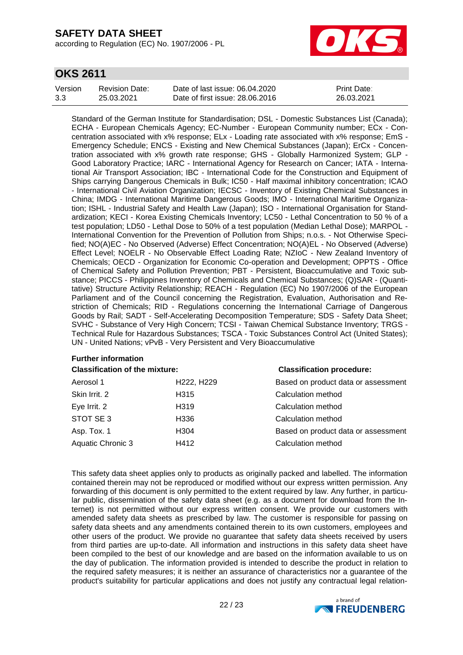according to Regulation (EC) No. 1907/2006 - PL



## **OKS 2611**

| Version | <b>Revision Date:</b> | Date of last issue: 06.04.2020  | <b>Print Date:</b> |
|---------|-----------------------|---------------------------------|--------------------|
| 3.3     | 25.03.2021            | Date of first issue: 28,06,2016 | 26.03.2021         |

Standard of the German Institute for Standardisation; DSL - Domestic Substances List (Canada); ECHA - European Chemicals Agency; EC-Number - European Community number; ECx - Concentration associated with x% response; ELx - Loading rate associated with x% response; EmS - Emergency Schedule; ENCS - Existing and New Chemical Substances (Japan); ErCx - Concentration associated with x% growth rate response; GHS - Globally Harmonized System; GLP - Good Laboratory Practice; IARC - International Agency for Research on Cancer; IATA - International Air Transport Association; IBC - International Code for the Construction and Equipment of Ships carrying Dangerous Chemicals in Bulk; IC50 - Half maximal inhibitory concentration; ICAO - International Civil Aviation Organization; IECSC - Inventory of Existing Chemical Substances in China; IMDG - International Maritime Dangerous Goods; IMO - International Maritime Organization; ISHL - Industrial Safety and Health Law (Japan); ISO - International Organisation for Standardization; KECI - Korea Existing Chemicals Inventory; LC50 - Lethal Concentration to 50 % of a test population; LD50 - Lethal Dose to 50% of a test population (Median Lethal Dose); MARPOL - International Convention for the Prevention of Pollution from Ships; n.o.s. - Not Otherwise Specified; NO(A)EC - No Observed (Adverse) Effect Concentration; NO(A)EL - No Observed (Adverse) Effect Level; NOELR - No Observable Effect Loading Rate; NZIoC - New Zealand Inventory of Chemicals; OECD - Organization for Economic Co-operation and Development; OPPTS - Office of Chemical Safety and Pollution Prevention; PBT - Persistent, Bioaccumulative and Toxic substance; PICCS - Philippines Inventory of Chemicals and Chemical Substances; (Q)SAR - (Quantitative) Structure Activity Relationship; REACH - Regulation (EC) No 1907/2006 of the European Parliament and of the Council concerning the Registration, Evaluation, Authorisation and Restriction of Chemicals; RID - Regulations concerning the International Carriage of Dangerous Goods by Rail; SADT - Self-Accelerating Decomposition Temperature; SDS - Safety Data Sheet; SVHC - Substance of Very High Concern; TCSI - Taiwan Chemical Substance Inventory; TRGS - Technical Rule for Hazardous Substances; TSCA - Toxic Substances Control Act (United States); UN - United Nations; vPvB - Very Persistent and Very Bioaccumulative

### **Further information**

| <b>Classification of the mixture:</b> |                  | <b>Classification procedure:</b>    |  |
|---------------------------------------|------------------|-------------------------------------|--|
| Aerosol 1                             | H222, H229       | Based on product data or assessment |  |
| Skin Irrit. 2                         | H315             | Calculation method                  |  |
| Eye Irrit. 2                          | H319             | Calculation method                  |  |
| STOT SE 3                             | H336             | Calculation method                  |  |
| Asp. Tox. 1                           | H <sub>304</sub> | Based on product data or assessment |  |
| Aquatic Chronic 3                     | H412             | Calculation method                  |  |

This safety data sheet applies only to products as originally packed and labelled. The information contained therein may not be reproduced or modified without our express written permission. Any forwarding of this document is only permitted to the extent required by law. Any further, in particular public, dissemination of the safety data sheet (e.g. as a document for download from the Internet) is not permitted without our express written consent. We provide our customers with amended safety data sheets as prescribed by law. The customer is responsible for passing on safety data sheets and any amendments contained therein to its own customers, employees and other users of the product. We provide no guarantee that safety data sheets received by users from third parties are up-to-date. All information and instructions in this safety data sheet have been compiled to the best of our knowledge and are based on the information available to us on the day of publication. The information provided is intended to describe the product in relation to the required safety measures; it is neither an assurance of characteristics nor a guarantee of the product's suitability for particular applications and does not justify any contractual legal relation-